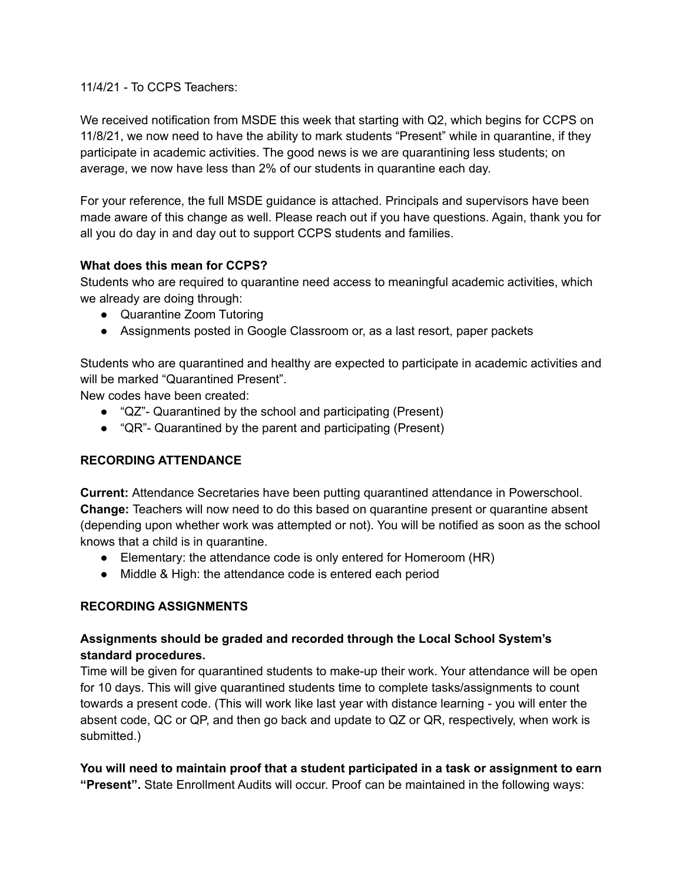11/4/21 - To CCPS Teachers:

We received notification from MSDE this week that starting with Q2, which begins for CCPS on 11/8/21, we now need to have the ability to mark students "Present" while in quarantine, if they participate in academic activities. The good news is we are quarantining less students; on average, we now have less than 2% of our students in quarantine each day.

For your reference, the full MSDE guidance is attached. Principals and supervisors have been made aware of this change as well. Please reach out if you have questions. Again, thank you for all you do day in and day out to support CCPS students and families.

## **What does this mean for CCPS?**

Students who are required to quarantine need access to meaningful academic activities, which we already are doing through:

- Quarantine Zoom Tutoring
- Assignments posted in Google Classroom or, as a last resort, paper packets

Students who are quarantined and healthy are expected to participate in academic activities and will be marked "Quarantined Present".

New codes have been created:

- "QZ"- Quarantined by the school and participating (Present)
- "QR"- Quarantined by the parent and participating (Present)

## **RECORDING ATTENDANCE**

**Current:** Attendance Secretaries have been putting quarantined attendance in Powerschool. **Change:** Teachers will now need to do this based on quarantine present or quarantine absent (depending upon whether work was attempted or not). You will be notified as soon as the school knows that a child is in quarantine.

- Elementary: the attendance code is only entered for Homeroom (HR)
- Middle & High: the attendance code is entered each period

## **RECORDING ASSIGNMENTS**

# **Assignments should be graded and recorded through the Local School System's standard procedures.**

Time will be given for quarantined students to make-up their work. Your attendance will be open for 10 days. This will give quarantined students time to complete tasks/assignments to count towards a present code. (This will work like last year with distance learning - you will enter the absent code, QC or QP, and then go back and update to QZ or QR, respectively, when work is submitted.)

#### **You will need to maintain proof that a student participated in a task or assignment to earn "Present".** State Enrollment Audits will occur. Proof can be maintained in the following ways: